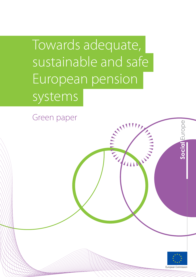Towards adequate, sustainable and safe European pension systems

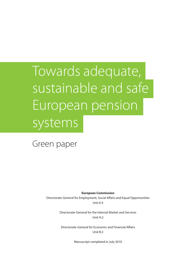# Towards adequate, sustainable and safe European pension systems

Green paper

**European Commission**

Directorate-General for Employment, Social Affairs and Equal Opportunities Unit E.4

> Directorate-General for the Internal Market and Services Unit H<sub>2</sub>

Directorate-General for Economic and Financial Affairs Unit B.3

Manuscript completed in July 2010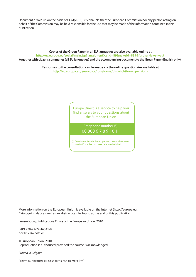Document drawn up on the basis of COM(2010) 365 final. Neither the European Commission nor any person acting on behalf of the Commission may be held responsible for the use that may be made of the information contained in this publication.

**Copies of the Green Paper in all EU languages are also available online at http://ec.europa.eu/social/main.jsp?langId=en&catId=89&newsId=839&furtherNews=yes# together with citizens summaries (all EU languages) and the accompanying document to the Green Paper (English only).** 

> **Responses to the consultation can be made via the online questionaire available at http://ec.europa.eu/yourvoice/ipm/forms/dispatch?form=pensions**

> > Europe Direct is a service to help you find answers to your questions about the European Union

> > > Freephone number (\*): 00 800 6 7 8 9 10 11

(\*) Certain mobile telephone operators do not allow access to 00 800 numbers or these calls may be billed.

More information on the European Union is available on the Internet (http://europa.eu). Cataloguing data as well as an abstract can be found at the end of this publication.

Luxembourg: Publications Office of the European Union, 2010

ISBN 978-92-79-16341-8 doi:10.2767/20128

© European Union, 2010 Reproduction is authorised provided the source is acknowledged.

*Printed in Belgium*

PRINTED ON ELEMENTAL CHLORINE-FREE BLEACHED PAPER (ECF )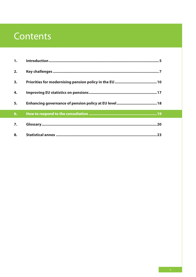# Contents

| 1. |  |
|----|--|
| 2. |  |
| 3. |  |
| 4. |  |
| 5. |  |
| 6. |  |
| 7. |  |
| 8. |  |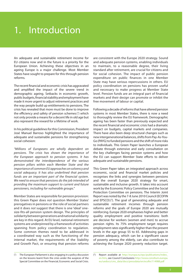# 1. Introduction

An adequate and sustainable retirement income for EU citizens now and in the future is a priority for the European Union. Achieving these objectives in an ageing Europe is a major challenge. Most Member States have sought to prepare for this through pension reforms.

The recent financial and economic crisis has aggravated and amplified the impact of the severe trend in demographic ageing. Setbacks in economic growth, public budgets, financial stability and employment have made it more urgent to adjust retirement practices and the way people build up entitlements to pensions. The crisis has revealed that more must be done to improve the efficiency and safety of pension schemes (1) which not only provide a means for a decent life in old age but also represent the reward for a lifetime of work.

In his political guidelines for this Commission, President José Manuel Barroso highlighted the importance of adequate and sustainable pensions for strengthening social cohesion:

*"Millions of Europeans are wholly dependent on pensions. The crisis has shown the importance of the European approach to pension systems. It has demonstrated the interdependence of the various pension pillars within each Member State and the importance of common EU approaches on solvency and social adequacy. It has also underlined that pension funds are an important part of the financial system. We need to ensure that pensions do the job intended of providing the maximum support to current and future pensioners, including for vulnerable groups."*

Member States are responsible for pension provision: this Green Paper does *not* question Member States' prerogatives in pensions or the role of social partners and it does *not* suggest that there is one 'ideal' onesize-fits-all pension system design. The principles of solidarity between generations and national solidarity are key in this regard. At EU level, national retirement systems are underpinned by a framework of activities spanning from policy coordination to regulation. Some common themes need to be addressed in a coordinated way such as the functioning of the internal market, the requirements of the Stability and Growth Pact, or ensuring that pension reforms are consistent with the Europe 2020 strategy. Sound and adequate pension systems, enabling individuals to maintain, to a reasonable degree, their living standard after retirement, are crucial for citizens and for social cohesion. The impact of public pension expenditure on public finances in one Member State may have serious repercussions in others. EU policy coordination on pensions has proven useful and necessary to make progress at Member State level. Pension funds are an integral part of financial markets and their design can promote or inhibit the free movement of labour or capital.

Following a decade of reforms that have altered pension systems in most Member States, there is now a need to thoroughly review the EU framework. Demographic ageing has been faster than previously expected and the recent financial and economic crisis had a dramatic impact on budgets, capital markets and companies. There have also been deep structural changes such as new intergenerational balances, shifts from Pay-As-You-Go (PAYG) to funded pensions and the shift of more risks to individuals. This Green Paper launches a European debate through extensive and early consultation on the key challenges facing pension systems and how the EU can support Member State efforts to deliver adequate and sustainable pensions.

This Green Paper takes an integrated approach across economic, social and financial market policies and recognises the links and synergies between pensions and the overall Europe 2020 strategy for smart, sustainable and inclusive growth. It takes into account work by the Economic Policy Committee and the Social Protection Committee on pensions. The Interim Joint Report was noted by the 7-8 June 2010 Council (ECOFIN and EPSCO)<sup>(2</sup>). The goal of generating adequate and sustainable retirement incomes through pension reforms and the goals of Europe 2020 are mutually reinforcing. Europe 2020 emphasises higher and better quality employment and positive transitions: both are decisive for workers (women and men) to accrue pension rights. Its 75% employment target requires employment rates significantly higher than the present levels in the age group 55 to 65. Addressing gaps in pension adequacy, which can be a significant cause of poverty among the elderly, can also contribute to achieving the Europe 2020 poverty reduction target.

 $(1)$ The European Parliament is also engaging in a policy discussion on the lessons learnt from the crisis under the auspices of the Special Committee on the Financial, Economic and Social Crisis.

 $(2)$ Report available at http://europa.eu/epc/publications/index\_ en.htm, see Council Conclusions http://www.consilium.europa. eu/uedocs/cms\_data/docs/pressdata/en/ecofin/114988.pdf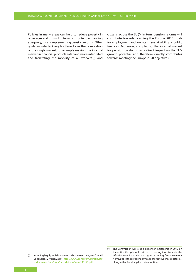Policies in many areas can help to reduce poverty in older ages and this will in turn contribute to enhancing adequacy, thus complementing pension reforms. Other goals include tackling bottlenecks in the completion of the single market, for example making the internal market in financial products safer and more integrated and facilitating the mobility of all workers $(3)$  and

citizens across the EU (<sup>4</sup> ). In turn, pension reforms will contribute towards reaching the Europe 2020 goals for employment and long-term sustainability of public finances. Moreover, completing the internal market for pension products has a direct impact on the EU's growth potential and therefore directly contributes towards meeting the Europe 2020 objectives.

<sup>&</sup>lt;sup>(3</sup>) Including highly mobile workers such as researchers, see Council Conclusions 2 March 2010: http://www.consilium.europa.eu/ uedocs/cms\_Data/docs/pressdata/en/intm/113121.pdf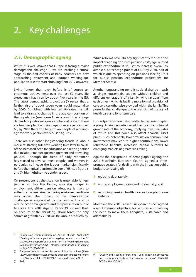# **2.1. Demographic ageing**

Whilst it is well known that Europe is facing a major demographic challenge (<sup>5</sup> ), we are reaching a critical stage as the first cohorts of baby boomers are now approaching retirement and Europe's working-age population is set to start shrinking from 2012 onwards.

Living longer than ever before is of course an enormous achievement: over the last 50 years, life expectancy has risen by about five years in the EU. The latest demographic projections (<sup>6</sup> ) reveal that a further rise of about seven years could materialise by 2060. Combined with low fertility rates this will lead to a dramatic change in the age composition of the population (see figure 1). As a result, the old-age dependency ratio will double: where at present there are four people of working age for every person over 65, by 2060 there will be just two people of workingage for every person over 65 (see figure 2).

There are also other longstanding trends in labour markets: starting full-time working lives later because of the increased need for education and retiring earlier due to labour market age management and prevailing policies. Although the trend of early retirement has started to reverse, most people, and women in particular, still leave the labour market significantly before the typical pensionable age of 65 (see figure 6 and 7), highlighting the gender aspect.

On present trends the situation is untenable. Unless people, as they live longer, also stay longer in employment, either pension adequacy is likely to suffer or an unsustainable rise in pension expenditure may occur. The impact of the demographic challenge as aggravated by the crisis will tend to reduce economic growth and put pressure on public finances. The 2009 Ageing Report(7) showed that, on account of the shrinking labour force, the only source of growth by 2020 will be labour productivity.

While reforms have already significantly reduced the impact of ageing on future pension costs, age-related public expenditure is still set to increase overall by almost 5 percentage points of GDP by 2060, half of which is due to spending on pensions (see figure 3 for public pension expenditure projections for Member States).

Another longstanding trend is societal change – such as single households, couples without children and different generations of a family living far apart from each other – which is fuelling more formal provision of care services otherwise provided within the family. This poses further challenges to the financing of the cost of health care and long-term care.

Funded pensions could also be affected by demographic ageing. Ageing societies would reduce the potential growth rate of the economy, implying lower real rates of return and this could also affect financial asset prices. Such potentially lower returns on pension fund investments may lead to higher contributions, lower retirement benefits, increased capital outflows to emerging markets or greater risk taking.

Against the background of demographic ageing, the 2001 Stockholm European Council agreed a threepronged strategy for dealing with the impact on public budgets consisting of:

- ✽ reducing debt rapidly;
- ✽ raising employment rates and productivity; and
- ✽ reforming pension, health care and long-term care systems.

Moreover, the 2001 Laeken European Council agreed a set of common objectives for pensions emphasising the need to make them adequate, sustainable and adaptable (8).

 $(5)$ Commission communication on Ageing of 29th April 2009 "Dealing with the impact of an ageing population in the EU (2009 Ageing Report)" and Commission staff working document *Demography Report 2008 – Meeting social needs in an ageing society* (SEC (2008) 2911).

 $(6)$ European Commission and Economic Policy Committee (2009) "2009 Ageing Report: Economic and budgetary projections for the EU-27 Member States (2008-2060)", European Economy, No 2.

 $(7)$ ( ) Ibid.

 $(8)$ "Quality and viability of pensions - Joint report on objectives and working methods in the area of pensions" [10672/01 ECOFIN 198 SOC 272].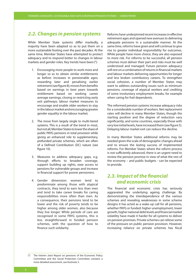### **2.2. Changes in pension systems**

While Member State systems differ markedly, a majority have been adapted so as to put them on a more sustainable footing over the past decades. At the same time, Member States have attempted to protect adequacy and to respond better to changes in labour markets and gender roles. Key trends have been (9):

- 1. Encouraging more people to work more and longer so as to obtain similar entitlements as before: increases in pensionable ages; rewarding later and penalising earlier retirement (see figure 8); moves from benefits based on earnings in best years towards entitlement based on working career average earnings; closing or restricting early exit pathways; labour market measures to encourage and enable older workers to stay in the labour market and encouraging greater gender equality in the labour market.
- 2. The move from largely single to multi-tiered systems. This is a result of the trend in most, but not all, Member States to lower the share of public PAYG pensions in total provision while giving an enhanced role to supplementary, prefunded private schemes, which are often of a Defined Contribution (DC) nature (see figure 10).
- 3. Measures to address adequacy gaps, e.g. through efforts to broaden coverage, support building up rights, ease access to pensions for vulnerable groups and increase in financial support for poorer pensioners.
- 4. Gender dimension: women tend to predominate among those with atypical contracts, they tend to earn less than men and tend to take career breaks for caring responsibilities more often than men. As a consequence, their pensions tend to be lower and the risk of poverty tends to be higher among older women, also because they live longer. While periods of care are recognised in some PAYG systems, this is less straightforward in funded pension schemes, with the question of how to finance such solidarity.

Reforms have underpinned recent increases in effective retirement ages and opened new avenues to delivering adequate pensions in a sustainable manner. At the same time, reforms have given and will continue to give rise to greater individual responsibility for outcomes. While people have more choice, they are also exposed to more risk. For reforms to be successful, all pension schemes must deliver their part and risks must be well understood and managed. Future pension adequacy will rest on a combination of returns in financial markets and labour markets delivering opportunities for longer and less broken contributory careers. To strengthen social cohesion, a number of Member States may want to address outstanding issues such as minimum pensions, coverage of atypical workers and crediting of some involuntary employment breaks, for example when caring for frail dependents.

The reformed pension systems increase adequacy risks for a considerable number of workers. Net replacement rates will decline in many Member States, though the starting position and the degree of reduction vary significantly, and some countries, especially those with very low initial levels, have increased them (see figure 5). Delaying labour market exit can reduce the decline.

In many Member States additional reforms may be needed given the scale of demographic changes ahead and to ensure the lasting success of implemented reforms. For Member States where the reform process is not sufficiently advanced, there is an urgent need to review the pension promise in view of what the rest of the economy – and public budgets - can be expected to provide.

## **2.3. Impact of the financial and economic crisis**

The financial and economic crisis has seriously aggravated the underlying ageing challenge. By demonstrating the interdependence of the various schemes and revealing weaknesses in some scheme designs it has acted as a wake-up call for all pensions, whether PAYG or funded: higher unemployment, lower growth, higher national debt levels and financial market volatility have made it harder for all systems to deliver on pension promises. Private schemes can relieve some of the pressure on public pension provision. However, increasing reliance on private schemes has fiscal

<sup>(9)</sup> The Interim Joint Report on pensions of the Economic Policy Committee and the Social Protection Committee contains a more detailed assessment, see footnote 2.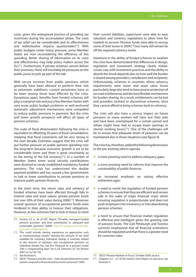costs, given the widespread practice of providing tax incentives during the accumulation phase. The costs of tax relief can be considerable and its effectiveness and redistributive impacts questionable  $(10)$ . With public budgets under heavy pressure, some Member States are now reconsidering the efficiency of this spending. Better sharing of information on its costs and effectiveness may help policy makers across the EU (<sup>11</sup>). Furthermore, if private schemes cannot deliver their promises, there will inevitably be pressures on the public purse to pick up part of the tab.

With secure incomes from public pensions, which generally have been allowed to perform their role as automatic stabilisers, current pensioners have so far been among those least affected by the crisis. Exceptions apart, benefits from funded schemes still play a marginal role and just a few Member States with very acute public budget problems or well-anchored automatic adjustment mechanisms were compelled to reduce public pensions in payment. But the crisis and lower growth prospects will affect all types of pension schemes.

The scale of fiscal deterioration following the crisis is equivalent to offsetting 20 years of fiscal consolidation, implying that fiscal constraints will be very strong in the next decade. Estimates suggest that the crisis will put further pressure on public pension spending over the long-term because economic growth is set to be considerably lower and there is great uncertainty as to the timing of the full recovery  $(12)$ . In a number of Member States some social security contributions were diverted to newly established mandatory funded pensions. The crisis has underscored this double payment problem and has caused a few governments to halt or lower contributions to private pensions to improve public pension finances.

In the short term, the return rates and solvency of funded schemes have been affected through falls in interest rates and asset values: private pension funds lost over 20% of their value during 2008<sup>(13)</sup>. Moreover several sponsors of occupational pension funds were hindered in their ability to honour their obligations. However, as few schemes had to lock in losses to meet their current liabilities, supervisors were able to ease valuation and solvency regulations to allow time for markets to recover. Pension funds were able to recoup some of their losses in 2009 (<sup>14</sup>) but many still remain far off the required solvency levels.

Variations in the ability of funded schemes to weather the crisis have demonstrated that differences in design, regulation and investment strategy clearly matter. Losses vary with investment practices and the ability to absorb the shock depends also on how well the burden is shared among providers, contributors and recipients. Unfortunately, schemes in countries where solvency requirements were lower and asset value losses particularly large also tend to have poorer protection of accrued entitlements and the least flexible mechanisms for burden sharing. As a result, entitlements can be lost and providers inclined to discontinue schemes, since they cannot afford to bring schemes back to solvency.

The crisis will also have a serious impact on future pensions as many workers will have lost their jobs and have been unemployed for a certain period and others might have had to accept lower earnings or shorter working hours (15). One of the challenges will be to ensure that adequate levels of pensions can be maintained also in these situations (see figure 9).

The crisis has, therefore, added the following dimensions to the pre-existing reform agenda:

- ✽ a more pressing need to address adequacy gaps;
- ✽ a more pressing need for reforms that improve the sustainability of public finances;
- \* an increased emphasis on raising effective retirement ages;
- ✽ a need to revisit the regulation of funded pension schemes to ensure that they are efficient and remain safe in the wake of major financial crises whilst ensuring regulation is proportionate and does not push employers into insolvency or into abandoning pension schemes;
- ✽ a need to ensure that financial market regulation is effective and intelligent given the growing role of pension funds. The G20 Pittsburgh and Toronto summits emphasised that all financial institutions should be regulated and that there is a greater need for common rules.

<sup>(&</sup>lt;sup>10</sup>) Section 4.2 p. 26 of SPC Report "Privately managed funded pension provision and their contribution to adequate and sustainable pensions" (2008) http://ec.europa.eu/social/main. jsp?catId=752&langId=en

<sup>(11)</sup> This could include sharing experience on approaches such as 'communicating vessels' whereby the amount of tax relief available for voluntary individual savings is inversely related to the amount of statutory and occupational pensions an individual already has. See the "Proposal for a pension model with a compensating layer" by G.J.B. Dietvorst, EC Tax Review 2007 nr.3 p.142-145.

 $(12)$  See footnote 6.

 $(13)$  OECD, "Pensions and the crisis – How should retirement income systems respond to financial and economic pressures" 2009.

<sup>(&</sup>lt;sup>14</sup>) OECD "Pension Markets in Focus", October 2009, Issue 6.

 $(15)$  Chapters 3.3 – 3.5 of the Interim Joint Report on pensions, see footnote 2.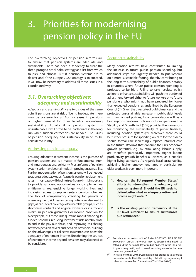# 3. Priorities for modernising pension policy in the EU

The overarching objectives of pension reforms are to ensure that pension systems are adequate and sustainable. There has been a tendency to treat the three-pronged Stockholm strategy as a list from which to pick and choose. But if pension systems are to deliver and if the Europe 2020 strategy is to succeed, it will now be necessary to address all three issues in a coordinated way.

### **3.1. Overarching objectives: adequacy and sustainability**

*Adequacy* and *sustainability* are two sides of the same coin. If pensions are at risk of being inadequate, there may be pressure for *ad hoc* increases in pensions or higher demand for other benefits, jeopardising sustainability. Equally if a pension system is unsustainable it will prove to be inadequate in the long run when sudden corrections are needed. The issues of pension adequacy and sustainability need to be considered jointly.

### Addressing pension adequacy

Ensuring adequate retirement income is the purpose of pension systems and is a matter of fundamental interand intra-generational solidarity. Most reforms of pension systems so far have been aimed at improving sustainability. Further modernisation of pension systems will be needed to address adequacy gaps. As public pension replacement rates in most cases will decline (see figure 4), it is important to provide sufficient opportunities for complementary entitlements: e.g. enabling longer working lives and increasing access to supplementary pension schemes. The lack of compensatory crediting for periods of unemployment, sickness or caring duties can also lead to gaps, as can lack of coverage of vulnerable groups, such as short-term contract and atypical workers, or insufficient minimum pension guarantees or income provision for older people, but these raise questions about financing. In funded schemes, reducing investment risk, notably close to and in the pay-out phase, and improving risk sharing between pension savers and pension providers, building on the advantages of collective insurance, can boost the adequacy of retirement income. Broadening the sources of retirement income beyond pensions may also need to be considered.

#### Securing sustainability

Many pension reforms have contributed to limiting the increase in future public pension spending, but additional steps are urgently needed to put systems on a more sustainable footing, thereby contributing to the long term sustainability of public finances, notably in countries where future public pension spending is projected to be high. Failing to take resolute policy action to enhance sustainability will push the burden of adjustment forward either to future workers or to future pensioners who might not have prepared for lower than expected pensions, as underlined by the European Council (<sup>16</sup>). Given the dire state of public finances and the projected unsustainable increase in public debt levels with unchanged policies, fiscal consolidation will be a binding constraint on all policies, including pensions. The Stability and Growth Pact (SGP) provides the framework for monitoring the sustainability of public finances, including pension systems (17). Moreover, there could be further pressure for spending on care for the elderly should formal care increasingly replace informal care in the future. Reforms that enhance the EU's economic growth potential, e.g. by stimulating labour supply, are therefore particularly important. Higher labour productivity growth benefits all citizens, as it enables higher living standards. As regards fiscal sustainability, achieving higher employment rates in particular for older workers is even more important.

- **1. How can the EU support Member States' efforts to strengthen the adequacy of pension systems? Should the EU seek to define better what an adequate retirement income might entail?**
- **2. Is the existing pension framework at the EU level sufficient to ensure sustainable public finances?**

<sup>(16)</sup> Presidency conclusions of the 23 March 2005 COUNCIL OF THE EUROPEAN UNION 7619/1/05, REV 1, stressed the need "to safeguard the sustainability of public finances in the long run, to promote growth, and to avoid imposing excessive burdens on future generations."

 $(17)$  In relation to the SGP the Commission has proposed to also take account of implicit liabilities, notably related to ageing, amongst other factors to reflect future risks (COM(2010) 367/2).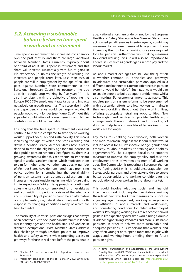### **3.2. Achieving a sustainable balance between time spent in work and in retirement**

Time spent in retirement has increased considerably over the past century and there are large variations between Member States. Currently, typically about one third of adult life is spent in retirement and this share will increase substantially with future gains in life expectancy  $(^{18})$  unless the length of working life increases and people retire later. Less than 50% of people are still in employment by the age of 60. This goes against Member State commitments at the Barcelona European Council to postpone the age at which people stop working by five years  $(19)$ . It is also inconsistent with the objective of reaching the Europe 2020 75% employment rate target and impacts negatively on growth potential. The steep rise in oldage dependency ratios could be largely avoided if people would work longer (see figure 2). Without this a painful combination of lower benefits and higher contributions would be inevitable.

Ensuring that the time spent in retirement does not continue to increase compared to time spent working would support adequacy and sustainability. This means increasing the age at which one stops working and draws a pension. Many Member States have already decided to raise the eligibility age for a full pension in their public pension schemes (see figure 6). There is a growing awareness that this represents an important signal to workers and employers, which motivates them to aim for higher effective retirement ages. A number of Member States have demonstrated that a promising policy option for strengthening the sustainability of pension systems is an automatic adjustment that increases the pensionable age in line with future gains in life expectancy. While this approach of contingent adjustments could be contemplated for other risks as well, committing to periodic reviews of the adequacy and sustainability of pensions could be an alternative or complementary way to facilitate a timely and smooth response to changing conditions many of which are hard to predict.

The feasibility of universal pensionable ages has always been debated due to occupational differences in labour market entry ages and the health status of workers in different occupations. Most Member States address this challenge through resolute policies to improve health and safety at work while providing access to pathways for those in real need before the pensionable age. National efforts are underpinned by the European Health and Safety Strategy. A few Member States have acknowledged differences in entry ages by combining measures to increase pensionable ages with those increasing the number of contributory years required for a full pension. Furthermore, whilst taking measures to extend working lives, it will also be important to address issues such as gender gaps in both pay and the labour market.

As labour market exit ages are still low, the question is whether common EU principles and pathways to adequate and sustainable pensions, applied in a differentiated manner, to cater for differences in pension systems, would be helpful? Such pathways would aim to enable people to build adequate entitlements whilst also making EU economies more sustainable. This requires pension system reforms to be supplemented with substantial efforts to allow workers to maintain their employability throughout their working lives, offering appropriate retraining opportunities. New technologies and services to provide flexible work arrangements through telework and upgrading of skills can help to accommodate older workers in the workplace for longer.

Key measures enabling older workers, both women and men, to remain longer in the labour market would include access for all, irrespective of age, gender and ethnicity, to labour markets, to training and disability adjustments  $(20)$ . The European Social Fund supports measures to improve the employability and raise the employment rates of women and men of all working ages. The Commission is preparing a European Year on Active Ageing 2012 which should encourage Member States, social partners and other stakeholders to create better opportunities and working conditions for the participation of older workers in the labour market.

This could involve adapting social and financial incentives to work, including Member States examining the role of their tax rules. Other measures could include adjusting age management, working arrangements and attitudes in labour markets and work-places, and considering conditions for older self-employed workers. Prolonging working lives to reflect continuous gains in life expectancy over time would bring a double dividend: higher living standards and more sustainable pensions. In order to achieve more sustainable and adequate pensions, it is important that workers, and very often younger ones, spend more time in jobs with wages and working hours entitling them to future pension rights.

 $(18)$  Chapter 3.2.1 of the Interim Joint Report on pensions, see footnote 2.

Presidency conclusions of the 15-16 March 2002 EUROPEAN COUNCIL SN 100/1/02 REV 1.

 $(20)$  A better transposition and application of the Employment Equality Directive (2000/78/EC) and the realisation of the added value of older staff is needed. Age is the most common perceived disadvantage when seeking a job, see http://ec.europa.eu/ public\_opinion/archives/ebs/ebs\_317\_en.pdf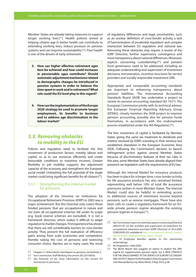Member States are already taking measures to support longer working lives (21). Health policies aimed at helping citizens age in better health can contribute to extending working lives, reduce pressure on pension systems and can improve sustainability  $(2^2)$ . Poor health is one of the drivers of early retirement.

- **3. How can higher effective retirement ages best be achieved and how could increases in pensionable ages contribute? Should automatic adjustment mechanisms related to demographic changes be introduced in pension systems in order to balance the time spent in work and in retirement? What role could the EU level play in this regard?**
- **4. How can the implementation of the Europe 2020 strategy be used to promote longer employment, its benefits to business and to address age discrimination in the labour market?**

### **3.3. Removing obstacles to mobility in the EU**

Policies and regulation need to facilitate the free movement of production factors, notably labour and capital, so as to use resources efficiently and create favourable conditions to maximise incomes. Greater flexibility in job mobility supports the adjustment capacity of the economy and strengthens the European social model. Unleashing the full potential of the single market could bring significant benefits for all citizens  $(23)$ .

#### 3.3.1. Strengthening the internal market for pensions

The adoption of the Directive on Institutions for Occupational Retirement Provision (IORP) in 2003 was a major achievement. But this Directive only covers those funded pensions that are occupational in nature and not even all occupational schemes fall under its scope (e.g. book reserve schemes are excluded). It is not a framework directive, which makes it difficult to adapt regulation to market changes. First experience has shown that there are still considerable barriers to cross-border activity. They prevent the full realisation of efficiency gains arising from scale economies and competition, thereby raising the cost of pensions and restricting consumer choice. Barriers are in many cases the result of regulatory differences and legal uncertainties, such as an unclear definition of cross-border activity, a lack of harmonisation of prudential regulation and complex interaction between EU regulation and national law. Removing these obstacles may require a review of the IORP Directive, further supervisory convergence and more transparency about national differences. Moreover, aspects concerning custodianship $(^{24})$  and pension fund governance need to be addressed, including an adequate understanding and supervision of investment decisions, remuneration, incentive structures for service providers and socially responsible investment (SRI).

Appropriate and comparable accounting standards are important to enhancing transparency about pension liabilities. The International Accounting Standards Board (IASB) has undertaken a project to review its pension accounting standard IAS 19 $(25)$ . The European Commission jointly with its technical advisor, the European Financial Reporting Advisory Group (EFRAG), closely monitors the IASB project to improve pension accounting, possibly also for pension funds themselves, in accordance with the endorsement process established under the IAS Regulation (<sup>26</sup>).

The free movement of capital is facilitated by Member States giving the same tax treatment to dividends and interest received by IORPs investing in their territory but established elsewhere in the European Economic Area (EEA). Following the Commission's decision to launch infringement action against several Member States because of discriminatory features of their tax rules in this area, some Member States have already aligned their pension's tax legislation with the requirements of EU law.

Although the Internal Market for insurance products has been in place for a longer time, cross-border activity for life assurance products has also remained limited, representing well below 10% of total life assurance premiums written in most Member States. The Internal Market could also be helpful in extending access to additional sources of retirement income beyond pensions, such as reverse mortgages. There have also been calls to create a regulatory framework for an EUwide private pension regime alongside the existing pension regimes in Europe (<sup>27</sup>).

 $(21)$  Chapter 2.1 of the Interim Joint Report on pensions, see footnote 2.

<sup>(&</sup>lt;sup>22</sup>) See Commission Staff Working Document SEC(2010)830.

 $(23)$  See footnote 22 for more information on the current EU framework on pensions.

 $(24)$  See Commission report on some key aspects concerning Directive 2003/41/EC on the activities and supervision of institutions for occupational retirement provision (IORP Directive) of 30.4.2009, COM(2009) 203, available at http://ec.europa.eu/internal\_market/ pensions/docs/legislation/iorp\_report\_en.pdf

 $(25)$  IAS 19 Employee Benefits applies to the sponsoring undertakings.

 $(26)$  IAS Regulation 1606/2002.

 $(27)$  The Monti Report also suggests an option to explore the 28th regime for supplementary pension rights, see A NEW STRATEGY FOR THE SINGLE MARKET AT THE SERVICE OF EUROPE'S ECONOMY AND SOCIETY, Report to the President of the European Commission José Manuel Barroso by Mario Monti, 9 May 2010, p.58.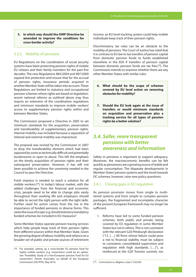#### **5. In which way should the IORP Directive be amended to improve the conditions for cross-border activity?**

### 3.3.2. Mobility of pensions

EU Regulations on the coordination of social security systems have been protecting pension rights of mobile EU citizens and their family members for the past five decades. The new Regulations 883/2004 and 987/2009 expand this protection and ensure that for the accrual of pension rights, insurance periods acquired in another Member State will be taken into account. These Regulations are limited to statutory and occupational pension schemes where rights are based on legislation: recent national reforms as outlined above may thus require an extension of the coordination regulations and minimum standards to improve mobile workers' access to supplementary pension rights within and between Member States.

The Commission proposed a Directive in 2005 to set minimum standards for the acquisition, preservation and transferability of supplementary pension rights. Internal mobility was included because a separation of internal and external mobility was impractical.

The proposal was revised by the Commission in 2007 to drop the transferability element which had been opposed by some as technically difficult and potentially burdensome or open to abuse. This left the emphasis on the timely acquisition of pension rights and their subsequent preservation. However, it has still not been possible to achieve the unanimity needed in the Council to pass the Directive.

Fresh impetus is needed to reach a solution for all mobile workers (<sup>28</sup>). In today's labour market, with the added challenges from the financial and economic crisis, people need to be able to change jobs easily throughout their working life and employers should be able to recruit the right person with the right skills. Further need for action comes from the rise in the importance of funded pensions in diverse forms. This raises the issue of scope: e.g. should statutory mandatory funded schemes be included in EU measures?

Some Member States operate pension tracing services which help people keep track of their pension rights from different sources within that Member State. Given the growing degree of labour mobility and reliance on a broader set of public and private sources of retirement income, an EU level tracking system could help mobile individuals keep track of their pension rights.

Discriminatory tax rules can be an obstacle to the mobility of pensions. The Court of Justice has ruled that it is contrary to EU law to tax transfers of pension capital from domestic pension funds to funds established elsewhere in the EEA if transfers of pension capital between domestic pension funds are tax free  $(29)$ . The Commission intends to examine whether there are any other Member States with similar rules.

- **6. What should be the scope of schemes covered by EU level action on removing obstacles for mobility?**
- **7. Should the EU look again at the issue of transfers or would minimum standards on acquisition and preservation plus a tracking service for all types of pension rights be a better solution?**

## **3.4. Safer, more transparent pensions with better awareness and information**

Safety in pensions is important to support adequacy. Moreover, the macroeconomic benefits can be felt quickly as pensioners are a growing source of stable and regular consumption. The disparate developments in Member States' pension systems and the trend towards DC schemes, however, raise new policy questions.

#### 3.4.1. Closing gaps in EU regulation

As pension provision moves from single to multitiered systems and from simple to complex pension packages, the fragmented and incomplete character of the present European framework may no longer be sufficient.

1. Reforms have led to some funded pension schemes, both public and private, being covered by EU regulation in some Member States but not in others. This is not consistent with the relevant G20 Pittsburgh declaration ("13. […] All firms whose failure could pose a risk to financial stability must be subject to consistent, consolidated supervision and regulation with high standards. […]"), as reinforced at the G20 Toronto summit, nor

 $(28)$  For example, setting up a cross-border EU pension fund for highly mobile workers (e.g. researchers) could be an option. See "Feasibility Study of a Pan-European pension fund for EU researchers", Hewitt Associates on behalf of the European Commission (DG RTD), May 2010.

<sup>29</sup> ( ) *Commission vs. Belgium*, Case C-522/04.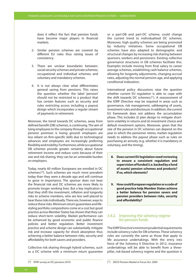does it reflect the fact that pension funds have become major players in financial markets.

- 2. Similar pension schemes are covered by different EU rules thus raising issues of consistency.
- 3. There are unclear boundaries between: social security schemes and private schemes; occupational and individual schemes; and voluntary and mandatory schemes.
- 4. It is not always clear what differentiates general saving from pensions. This raises the question whether the label 'pension' should not be restricted to a product that has certain features such as security and rules restricting access including a payout design which incorporates a regular stream of payments in retirement.

Moreover, the trend towards DC schemes, away from defined benefit (DB) schemes, is continuing. The aim of tying employees to the company through occupational pension promises is losing ground: employers are less reliant on firm-specific skills due to technological advances and employees are increasingly preferring flexibility and mobility. Furthermore, while occupational DB schemes provide greater certainty about future retirement income and reduce costs because of their size and risk sharing, they can be an untenable burden on employers.

Today, nearly 60 million Europeans are enrolled in DC schemes (30). Such schemes are much more prevalent today than they were a decade ago and will continue to grow in importance. The sponsor does not bear the financial risk and DC schemes are more likely to promote longer working lives. But a key implication is that they shift the investment, inflation and longevity risks to scheme members, who are less well placed to bear these risks individually. There are, however, ways to reduce these risks. Minimum return guarantees and lifestyling portfolio compositions come at a cost but good practice across Member States has shown that they can reduce short-term volatility. Market performance can be enhanced by good economic and public finance policies and better regulation. Better investment practice and scheme design can substantially mitigate risk and increase capacity for shock absorption thus achieving a better balance between risks, security and affordability for both savers and providers.

Collective risk sharing through hybrid schemes, such as a DC scheme with a minimum return guarantee or a part-DB and part-DC scheme, could change the current trend to individualised DC schemes. Moreover, high quality schemes are being promoted by industry initiatives. Some occupational DB schemes have also adapted to demographic and structural changes by increasing risk sharing between sponsors, workers and pensioners. Existing collective governance structures in DB schemes facilitate this. Examples include moving from final salary to career average schemes, establishing cash balance schemes, allowing for longevity adjustments, changing accrual rates, adjusting the normal pension age, and applying conditional indexation.

International policy discussions raise the question whether current EU regulation is able to cope with the shift towards DC schemes (<sup>31</sup>). A reassessment of the IORP Directive may be required in areas such as governance, risk management, safekeeping of assets, investment rules and disclosure. In addition, the current EU framework does not address the accumulation phase. This includes (i) plan design to mitigate shortterm volatility in returns and (ii) investment choice and default investment options. Moreover, given that the size of the pension in DC schemes can depend on the year in which the pensioner retires, market regulation needs to address the payout phase such as rules on purchasing an annuity (e.g. whether it is mandatory or voluntary, and the timing).

- **8. Does current EU legislation need reviewing to ensure a consistent regulation and supervision of funded (i.e. backed by a fund of assets) pension schemes and products? If so, which elements?**
- **9. How could European regulation or a code of good practice help Member States achieve a better balance for pension savers and pension providers between risks, security and affordability?**

### 3.4.2. Improving the solvency regime for pension funds

The IORP Directive's minimum prudential requirements include solvency rules for DB schemes. These solvency rules are currently the same as those that apply to life assurance undertakings. With the entry into force of the Solvency II Directive in 2012, insurance undertakings will be able to benefit from a threepillar, risk-based solvency regime and the question is

<sup>(30)</sup> EFRP survey on DC pensions 2010.

<sup>(31)</sup> OECD Pension Market in Focus Oct. 2009.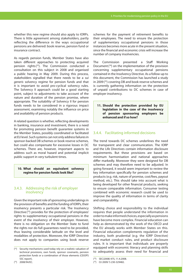whether this new regime should also apply to IORPs. There is little agreement among stakeholders, partly reflecting the difference in the ways occupational pensions are delivered: book reserve, pension fund or insurance contract.

As regards pension funds, Member States have also taken different approaches to protecting acquired pension rights  $(32)$ . The Commission conducted a consultation on this subject in 2008 and organised a public hearing in May 2009. During this process, stakeholders signalled that there needs to be a *sui generis* solvency regime for pension funds and that it is important to avoid pro-cyclical solvency rules. The Solvency II approach could be a good starting point, subject to adjustments to take account of the nature and duration of the pension promise, where appropriate. The suitability of Solvency II for pension funds needs to be considered in a rigorous impact assessment, examining notably the influence on price and availability of pension products.

A related question is whether, reflecting developments in banking, insurance and investment, there is a need for promoting pension benefit guarantee systems in the Member States, possibly coordinated or facilitated at EU level. Such systems can not only address failures in sponsor-backed DB schemes or book reserve schemes, but could also compensate for excessive losses in DC schemes. There are, however, important aspects to address such as moral hazard and potential implicit public support in very turbulent times.

#### **10. What should an equivalent solvency regime for pension funds look like?**

#### 3.4.3. Addressing the risk of employer insolvency

Given the important role of sponsoring undertakings in the provision of benefits and the funding of IORPs, their insolvency presents a particular risk. The Insolvency Directive (<sup>33</sup>) provides for the protection of employees' rights to supplementary occupational pensions in the event of the insolvency of their employer. However, there is no obligation on the Member State to fund the rights nor do full guarantees need to be provided, thus leaving considerable latitude on the level and modalities of protection. Moreover, the IORP Directive does not apply to companies using book reserve

The Commission presented a Staff Working Document  $(34)$  on the implementation of the provision concerning supplementary occupational pensions contained in the Insolvency Directive. As a follow-up to this document, the Commission has launched a study in 2009 (<sup>35</sup>) covering DB and book reserve schemes and is currently gathering information on the protection of unpaid contributions to DC schemes in case of employer insolvency.

**11. Should the protection provided by EU legislation in the case of the insolvency of pension sponsoring employers be enhanced and if so how?**

### 3.4.4. Facilitating informed decisions

The trend towards DC schemes underlines the need for transparent and clear communication. The IORP and the Life Directives contain information disclosure requirements. But these provisions are based on minimum harmonisation and national approaches differ markedly. Moreover they were designed for DB schemes and may therefore need to be adjusted. In going forward, it would seem important to review the key information specifically for pension schemes and products (e.g. risk, nature of promise, cost/fees, payout method, etc.). This should take into account what is being developed for other financial products, seeking to ensure comparable information. Consumer testing combined with economic research could be used to improve the quality of information in terms of clarity and comparability.

Shifting choice and responsibility to the individual requires that people understand the information in order to make informed choices, especially as pensions have become more complex. Financial education can help as demonstrated by the work of the OECD and the EU already works with Member States on this. Financial education complements regulation of the industry, both prudential (e.g. the IORP Directive) and market conduct rules, and product disclosure rules. It is important that individuals are properly equipped with economic literacy and planning skills to adequately assess their need for financial and

 $(32)$  Security mechanisms used today rely on a realistic valuation of technical provisions, own funds, sponsor covenants, pension protection funds or a combination of those elements (CEIOPS SSC report).

schemes for the payment of retirement benefits to their employees. The need to ensure the protection of supplementary occupational pensions in those instances becomes more acute in the present situation, since the financial and economic crisis will increase the number of company insolvencies.

 $(34)$  SFC(2008) 475, 11.4.2008.

<sup>(35)</sup> OJ 2009/ S 230-329482.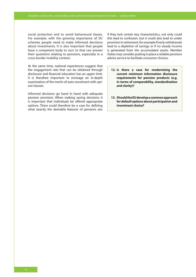social protection and to avoid behavioural biases. For example, with the growing importance of DC schemes people need to make informed decisions about investments. It is also important that people have a competent body to turn to that can answer their questions relating to pensions, especially in a cross-border mobility context.

At the same time, national experiences suggest that the engagement rate that can be obtained through disclosure and financial education has an upper limit. It is therefore important to envisage an in-depth examination of the merits of auto-enrolment with optout clauses.

Informed decisions go hand in hand with adequate pension provision. When making saving decisions it is important that individuals be offered appropriate options. There could therefore be a case for defining what exactly the desirable features of pensions are: if they lack certain key characteristics, not only could this lead to confusion, but it could also lead to under provision in retirement, for example if early withdrawals lead to a depletion of savings or if no steady income is generated from the accumulated assets. Member States may consider putting in place a reliable pensions advice service to facilitate consumer choices.

- **12. Is there a case for modernising the current minimum information disclosure requirements for pension products (e.g. in terms of comparability, standardisation and clarity)?**
- **13. Should the EU develop a common approach for default options about participation and investment choice?**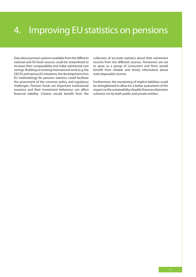# 4. Improving EU statistics on pensions

Data about pension systems available from the different national and EU-level sources could be streamlined to increase their comparability and make substantial cost savings. Building on existing international work (e.g. the OECD) and various EU initiatives, the development of an EU methodology for pension statistics could facilitate the assessment of the common policy and regulatory challenges. Pension funds are important institutional investors and their investment behaviour can affect financial stability. Citizens would benefit from the

collection of accurate statistics about their retirement income from the different sources. Pensioners are set to grow as a group of consumers and firms would benefit from reliable and timely information about total disposable income.

Furthermore, the monitoring of implicit liabilities could be strengthened to allow for a better assessment of the impact on the sustainability of public finances of pension schemes run by both public and private entities.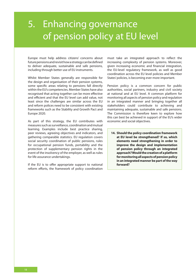# 5. Enhancing governance of pension policy at EU level

Europe must help address citizens' concerns about future pensionsand revisit how a strategy can be defined to deliver adequate, sustainable and safe pensions, including through better use of EU instruments.

Whilst Member States generally are responsible for the design and organisation of their pension systems, some specific areas relating to pensions fall directly within the EU's competencies. Member States have also recognised that acting together can be more effective and efficient and that the EU level can add value, not least since the challenges are similar across the EU and reform polices need to be consistent with existing frameworks such as the Stability and Growth Pact and Europe 2020.

As part of this strategy, the EU contributes with measures such as surveillance, coordination and mutual learning. Examples include best practice sharing, peer reviews, agreeing objectives and indicators, and gathering comparable statistics. EU regulation covers social security coordination of public pensions, rules for occupational pension funds, portability and the protection of supplementary pension rights in the event of the insolvency of the employer, as well as rules for life assurance undertakings.

If the EU is to offer appropriate support to national reform efforts, the framework of policy coordination must take an integrated approach to reflect the increasing complexity of pension systems. Moreover, given increasing economic and financial integration, the EU-level regulatory framework, as well as good coordination across the EU level policies and Member States' policies, is becoming ever more important.

Pension policy is a common concern for public authorities, social partners, industry and civil society at national and at EU level. A common platform for monitoring all aspects of pension policy and regulation in an integrated manner and bringing together all stakeholders could contribute to achieving and maintaining adequate, sustainable and safe pensions. The Commission is therefore keen to explore how this can best be achieved in support of the EU's wider economic and social objectives.

**14. Should the policy coordination framework at EU level be strengthened? If so, which elements need strengthening in order to improve the design and implementation of pension policy through an integrated approach? Would the creation of a platform for monitoring all aspects of pension policy in an integrated manner be part of the way forward?**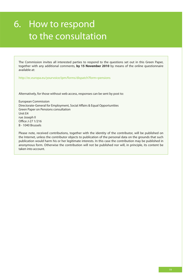# 6. How to respond to the consultation

The Commission invites all interested parties to respond to the questions set out in this Green Paper, together with any additional comments, **by 15 November 2010** by means of the online questionnaire available at:

http://ec.europa.eu/yourvoice/ipm/forms/dispatch?form=pensions

Alternatively, for those without web access, responses can be sent by post to:

European Commission Directorate-General for Employment, Social Affairs & Equal Opportunities Green Paper on Pensions consultation Unit E4 rue Joseph II Office J-27 1/216 B - 1040 Brussels

Please note, received contributions, together with the identity of the contributor, will be published on the Internet, unless the contributor objects to publication of the personal data on the grounds that such publication would harm his or her legitimate interests. In this case the contribution may be published in anonymous form. Otherwise the contribution will not be published nor will, in principle, its content be taken into account.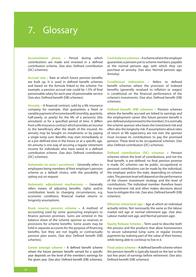# 7. Glossary

**Accumulation phase** – Period during which contributions are made and invested in a defined contribution scheme. (See also: Defined contribution (DC) schemes).

**Accrual rate** – Rate at which future pension benefits are built up. It is used in defined benefit schemes and based on the formula linked to the scheme. For example, a pension accrual rate could be 1.5% of final pensionable salary for each year of pensionable service (See also: Defined benefit (DB) schemes).

**Annuity** – A financial contract, sold by a life insurance company for example, that guarantees a fixed or variable payment of income benefit (monthly, quarterly, half-yearly, or yearly) for the life of a person(s) (the annuitant) or for a specified period of time. It differs from a life insurance contract which provides an income to the beneficiary after the death of the insured. An annuity may be bought on instalments or by paying a single lump sum. Benefits may start immediately or at a pre-defined time in the future or at a specific age. An annuity is one way of securing a regular retirement income for individuals who have saved in a defined contribution scheme. (See also: Defined contribution (DC) schemes).

**Automatic (or auto-) enrolment** – Generally refers to employees being members of their employer's pension scheme as a default choice, with the possibility of opting out on request.

**Automatic adjustment mechanisms** – Generally refers means of adjusting benefits, rights and/or contribution levels to changing circumstances, e.g. economic conditions, financial market returns or longevity assumptions.

**Book reserve pension scheme –** A method of accounting used by some sponsoring employers to finance pension promises. Sums are entered in the balance sheet of the scheme sponsor as reserves or provisions for scheme benefits. Some assets may be held in separate accounts for the purpose of financing benefits, but they are not legally or contractually pension plan assets. (See also: Defined benefit (DB) schemes).

**Career average scheme** – A defined benefit scheme where the future pension benefit earned for a specific year depends on the level of the member's earnings for the given year. (See also: Defined benefit (DB) schemes).

**Cash balance schemes** – A scheme where the employer guarantees a pension pot to scheme members, payable at the normal pension age, with which they can purchase an annuity. (See also: Normal pension age; Annuity).

**Conditional indexation** – Refers to defined benefit schemes where the provision of indexed benefits (generally revalued to inflation or wages) is conditional on the financial performance of the scheme's investments. (See also: Defined benefit (DB) schemes).

**Defined benefit (DB) schemes** – Pension schemes where the benefits accrued are linked to earnings and the employment career (the future pension benefit is pre-defined and promised to the member). It is normally the scheme sponsor who bears the investment risk and often also the longevity risk: if assumptions about rates of return or life expectancy are not met, the sponsor must increase its contributions to pay the promised pension. These tend to be occupational schemes. (See also: Defined contribution (DC) schemes).

**Defined contribution (DC) schemes –** Pension schemes where the level of contributions, and not the final benefit, is pre-defined: no final pension promise is made. DC schemes can be public, occupational or personal: contributions can be made by the individual, the employer and/or the state, depending on scheme rules. The pension level will depend on the performance of the chosen investment strategy and the level of contributions. The individual member therefore bears the investment risk and often makes decisions about how to mitigate this risk. (See also: Defined benefit (DB) schemes).

**Effective retirement age – Age at which an individual** actually retires. Not necessarily the same as the labour market exit age or normal retirement age. (See also: Labour market exit age, and Normal pension age).

**Equity Release Scheme** – Term used to describe both the process and the products that allow homeowners to secure substantial lump sums or regular income payments by realising part of the value of their homes, while being able to continue to live in it.

**Final salary scheme** – A defined benefit scheme where the pension benefit is typically based on the last or the last few years' of earnings before retirement. (See also: Defined benefit (DB) schemes).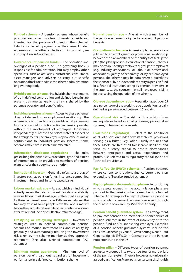**Funded scheme** – A pension scheme whose benefit promises are backed by a fund of assets set aside and invested for the purpose of meeting the scheme's liability for benefit payments as they arise. Funded schemes can be either collective or individual. (See also: Pay-As-You-Go schemes).

**Governance (of pension funds)** – The operation and oversight of a pension fund. The governing body is responsible for administration, but may employ other specialists, such as actuaries, custodians, consultants, asset managers and advisers to carry out specific operational tasks or to advise the scheme administration or governing body.

**Hybrid pension scheme** – In a hybrid scheme, elements of both defined contribution and defined benefits are present or, more generally, the risk is shared by the scheme's operator and beneficiaries.

**Individual pension scheme** – Access to these schemes does not depend on an employment relationship. The schemes are set up and administered directly by a pension fund or a financial institution acting as pension provider without the involvement of employers. Individuals independently purchase and select material aspects of the arrangements. The employer may nonetheless make contributions to individual pension schemes. Some schemes may have restricted membership.

**Information disclosure regulations** – The rules prescribing the periodicity, procedure, type and extent of information to be provided to members of pension plans and/or the supervisory authority.

**Institutional investor** – Generally refers to a group of investors such as pension funds, insurance companies, investment funds and, in some cases, banks.

**Labour market exit age** – Age at which an individual actually leaves the labour market. For data availability reasons labour market exit age is often used as a proxy for the effective retirement age. Differences between the two may exist, as some people leave the labour market before they actually retire while others continue working after retirement. (See also: Effective retirement age).

**Lifestyling or life-cycling strategies** – Investment strategies used in defined contribution pension schemes to reduce investment risk and volatility by gradually and automatically reducing the investment risk taken by the scheme member as they approach retirement. (See also: Defined contribution (DC) schemes).

**Minimum return guarantees** – Minimum level of pension benefit paid out regardless of investment performance in a defined contribution scheme.

**Normal pension age** – Age at which a member of the pension scheme is eligible to receive full pension benefits.

**Occupational schemes** – A pension plan where access is linked to an employment or professional relationship between the plan member and the entity that sets up the plan (the plan sponsor). Occupational pension schemes may be established by employers or groups of employers (e.g. industry associations) or labour or professional associations, jointly or separately, or by self-employed persons. The scheme may be administered directly by the sponsor or by an independent entity (a pension fund or a financial institution acting as pension provider). In the latter case, the sponsor may still have responsibility for overseeing the operation of the scheme.

**Old-age dependency ratio** – Population aged over 65 as a percentage of the working age population (usually defined as persons aged between 15 and 64).

**Operational risk** – The risk of loss arising from inadequate or failed internal processes, personnel or systems, or from external events.

**Own funds (regulatory)** – Refers to the additional assets of a pension funds above its technical provisions serving as a buffer. Regulation usually requires that these assets are free of all foreseeable liabilities and serve as a safety capital to absorb discrepancies between anticipated and actual expenditure and profits. Also referred to as regulatory capital. (See also: Technical provisions).

**Pay-As-You-Go (PAYG) schemes** – Pension schemes where current contributions finance current pension expenditure (See also: funded schemes).

**Payout phase or decumulation phase** – Period during which assets accrued in the accumulation phase are paid out to the pension scheme member in a funded scheme. An example of a payout phase is a period in which regular retirement income is received through the purchase of an annuity. (See also: Annuity).

**Pension benefit guarantee system - An arrangement** to pay compensation to members or beneficiaries of pension schemes in the event of insolvency of to the pension fund and/or sponsoring employer. Examples of a pension benefit guarantee systems include the Pensions-Sicherungs-Verein Versicherungsverein auf Gegenseitigkeit (PSVaG) in Germany and the Pension Protection Fund in the UK.

**Pension pillar –** Different types of pension schemes are usually grouped into two, three, four or more pillars of the pension system. There is however no universally agreed classification. Many pension systems distinguish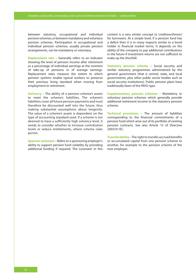between statutory, occupational and individual pension schemes, or between mandatory and voluntary pension schemes. Participation in occupational and individual pension schemes, usually private pension arrangements, can be mandatory or voluntary.

**Replacement rate** – Generally refers to an indicator showing the level of pension income after retirement as a percentage of individual earnings at the moment of take-up of pensions or of average earnings. Replacement rates measure the extent to which pension systems enable typical workers to preserve their previous living standard when moving from employment to retirement.

**Solvency** – The ability of a pension scheme's assets to meet the scheme's liabilities. The scheme's liabilities cover all future pension payments and must therefore be discounted well into the future, thus making substantial assumptions about longevity. The value of a scheme's assets is dependent on the type of accounting standard used. If a scheme is not deemed to have a sufficiently high solvency level, it needs to consider whether to increase contribution levels or reduce entitlements, where scheme rules permit.

**Sponsor covenant** – Refers to a sponsoring employer's ability to support pension fund volatility by providing additional funding if required. The 'covenant' in this context is a very similar concept to 'creditworthiness' for borrowers. At a simple level, if a pension fund has a deficit then it is in many respects similar to a bond holder in financial market terms. It depends on the ability of the company to pay additional contributions in the future if investment returns are not sufficient to make up the shortfall.

**Statutory pension scheme** – Social security and similar statutory programmes administered by the general government (that is central, state, and local governments, plus other public sector bodies such as social security institutions). Public pension plans have traditionally been of the PAYG type.

**Supplementary pension schemes** – Mandatory or voluntary pension schemes which generally provide additional retirement income to the statutory pension scheme.

**Technical provisions** – The amount of liabilities corresponding to the financial commitments of a pension fund which arise out of its portfolio of existing pension contracts. See also Article 15 of Directive 2003/41/EC.

**Transferability** – The right to transfer accrued benefits or accumulated capital from one pension scheme to another, for example to the pension scheme of the new employer.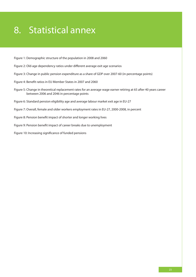# 8. Statistical annex

- Figure 1: Demographic structure of the population in 2008 and 2060
- Figure 2: Old-age dependency ratios under different average exit age scenarios
- Figure 3: Change in public pension expenditure as a share of GDP over 2007-60 (in percentage points)
- Figure 4: Benefit ratios in EU Member States in 2007 and 2060
- Figure 5: Change in theoretical replacement rates for an average wage earner retiring at 65 after 40 years career between 2006 and 2046 in percentage points
- Figure 6: Standard pension eligibility age and average labour market exit age in EU-27
- Figure 7: Overall, female and older workers employment rates in EU-27, 2000-2008, in percent
- Figure 8: Pension benefit impact of shorter and longer working lives
- Figure 9: Pension benefit impact of career breaks due to unemployment
- Figure 10: Increasing significance of funded pensions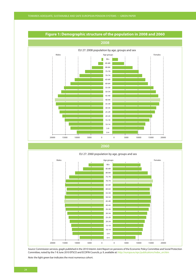

### **Figure 1: Demographic structure of the population in 2008 and 2060**

*Source:* Commission services, graph published in the 2010 Interim Joint Report on pensions of the Economic Policy Committee and Social Protection Committee, noted by the 7-8 June 2010 EPSCO and ECOFIN Councils, p. 9, available at: http://europa.eu/epc/publications/index\_en.htm

*Note:* the light green bar indicates the most numerous cohort.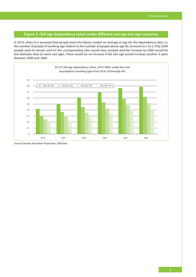### **Figure 2: Old-age dependency ratios under different average exit age scenarios**

In 2010, when it is assumed that people leave the labour market on average at age 60, the dependency ratio, i.e. the number of people of working age relative to the number of people above age 60, amounts to 5 to 2. If by 2040 people were to remain until 67 the corresponding ratio would stay constant and the increase by 2060 would far less dramatic than at lower exit ages. There would be no increase if the exit age would increase another 3 years between 2040 and 2060.



*Source:* Eurostat, Population Projections, 2008 data.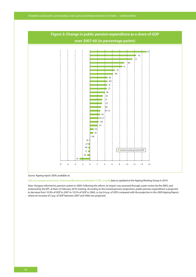

*Source:* Ageing report 2009, available at:

*http:*//ec.europa.eu/economy\_finance/publications/publication13782\_en.pdf, data as updated at the Ageing Working Group in 2010.

*Note:* Hungary reformed its pension system in 2009. Following the reform, its impact was assessed through a peer review by the AWG, and endorsed by the EPC at their 22 February 2010 meeting. According to the revised pension projections, public pension expenditure is projected to decrease from 10.9% of GDP in 2007 to 10.5% of GDP in 2060, i.e. by 0.4 p.p. of GDP, compared with the projection in the 2009 Ageing Report, where an increase of 3 p.p. of GDP between 2007 and 2060 was projected.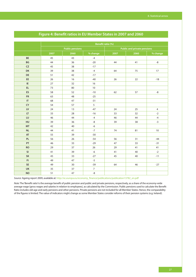|                        | Benefit ratio (%) |                        |                |                                    |      |                |  |  |
|------------------------|-------------------|------------------------|----------------|------------------------------------|------|----------------|--|--|
|                        |                   | <b>Public pensions</b> |                | <b>Public and private pensions</b> |      |                |  |  |
|                        | 2007              | 2060                   | % change       | 2007                               | 2060 | % change       |  |  |
| BE                     | 45                | 43                     | $-4$           |                                    |      |                |  |  |
| BG                     | 44                | 36                     | $-20$          | 44                                 | 41   | -8             |  |  |
| ${\sf CZ}$             | 45                | 38                     | $-17$          |                                    |      |                |  |  |
| DK                     | 39                | 38                     | $-4$           | 64                                 | 75   | $17\,$         |  |  |
| DE                     | 51                | 42                     | $-17$          |                                    |      |                |  |  |
| EE                     | 26                | 16                     | $-40$          | 26                                 | 22   | $-18$          |  |  |
| IE                     | 27                | 32                     | 16             |                                    |      |                |  |  |
| <b>EL</b>              | 73                | 80                     | 10             |                                    |      |                |  |  |
| <b>ES</b>              | 58                | 52                     | $-10$          | 62                                 | 57   | -8             |  |  |
| <b>FR</b>              | 63                | 48                     | $-25$          |                                    |      |                |  |  |
| $\mathsf{I}\mathsf{T}$ | 68                | 47                     | $-31$          |                                    |      |                |  |  |
| CY                     | 54                | 57                     | 5              |                                    |      |                |  |  |
| ${\sf L}{\sf V}$       | 24                | 13                     | $-47$          | 24                                 | 25   | $\overline{4}$ |  |  |
| LT                     | 33                | 28                     | $-16$          | 33                                 | 32   | $-2$           |  |  |
| LU                     | 46                | 44                     | $-4$           | 46                                 | 44   | $-4$           |  |  |
| HU                     | 39                | 36                     | $-8$           | 39                                 | 38   | $-3$           |  |  |
| <b>MT</b>              | 42                | 40                     | $-6$           |                                    |      |                |  |  |
| $\sf NL$               | 44                | 41                     | $-7$           | 74                                 | 81   | $10$           |  |  |
| AT                     | 55                | 39                     | $-30$          |                                    |      |                |  |  |
| PL                     | 56                | 26                     | $-54$          | 56                                 | 31   | $-44$          |  |  |
| PT                     | 46                | 33                     | $-29$          | 47                                 | 33   | $-31$          |  |  |
| <b>RO</b>              | 29                | 37                     | 26             | 29                                 | 41   | 41             |  |  |
| <b>SI</b>              | 41                | 39                     | $-6$           | 41                                 | 40   | $-2$           |  |  |
| SK                     | 45                | 33                     | $-27$          | 45                                 | 40   | $-11$          |  |  |
| F1                     | 49                | 47                     | $-5$           |                                    |      |                |  |  |
| SE                     | 49                | 30                     | $-39$          | 64                                 | 46   | $-27$          |  |  |
| UK                     | 35                | 37                     | $\overline{7}$ |                                    |      |                |  |  |
| <b>NO</b>              | 51                | 47                     | $-8$           |                                    |      |                |  |  |

### **Figure 4: Benefit ratios in EU Member States in 2007 and 2060**

*Source:* Ageing report 2009, available at: http://ec.europa.eu/economy\_finance/publications/publication13782\_en.pdf

*Note:* The 'Benefit ratio' is the average benefit of public pension and public and private pensions, respectively, as a share of the economy-wide average wage (gross wages and salaries in relation to employees), as calculated by the Commission. Public pensions used to calculate the Benefit Ratio includes old-age and early pensions and other pensions. Private pensions are not included for all Member States. Hence, the comparability of the figures is limited. The value of indicators might change as some Member States consider reforms of their pension systems (e.g. Ireland).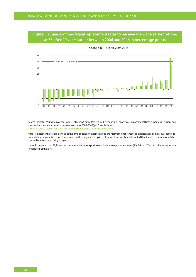## **Figure 5: Change in theoretical replacement rates for an average wage earner retiring at 65 after 40 years career between 2006 and 2046 in percentage points**



*Source:* Indicators' Subgroup of the Social Protection Committee (ISG) 2009 report on Theoretical Replacement Rates, "Updates of current and prospective theoretical pension replacement rates 2006-2046", p.17, available at: http://ec.europa.eu/social/main.jsp?catId=752&langId=en&moreDocuments=yes

*Note:* Replacement rates are defined as the level of pension income during the first year of retirement as a percentage of individual earnings immediately before retirement. For countries with a projected drop in replacement rates it should be noted that the decrease can usually be counterbalanced by working longer.

It should be noted that EE, like other countries with a more positive evolutions in replacement rates (RO, BG and CY), start off from rather low initial levels of the rates.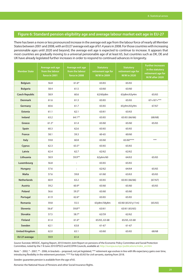### **Figure 6: Standard pension eligibility age and average labour market exit age in EU-27**

There has been a more or less pronounced increase in the average exit age from the labour force of nearly all Member States between 2001 and 2008, with an EU27 average exit age of 61.4 years in 2008. For those countries with increasing pensionable ages until 2020 and beyond, the average exit age is expected to continue to increase. It appears that most countries are gradually moving to a universal pensionable age of at least 65, but countries such as DK, DE and UK have already legislated further increases in order to respond to continued advances in longevity.

| <b>Member State</b>   | Average exit age<br>from the labour<br>force in 2001 | Average exit age<br>from the labour<br>force in 2008 | <b>Statutory</b><br>retirement age for<br>M/W in 2009 | <b>Statutory</b><br>retirement age for<br>M/W in 2020 | <b>Further increases</b><br>in the statutory<br>retirement age for<br>M/W after 2020 |
|-----------------------|------------------------------------------------------|------------------------------------------------------|-------------------------------------------------------|-------------------------------------------------------|--------------------------------------------------------------------------------------|
| <b>Belgium</b>        | 56.8                                                 | $61.6*$                                              | 65/65                                                 | 65/65                                                 |                                                                                      |
| <b>Bulgaria</b>       | 58.4                                                 | 61.5                                                 | 63/60                                                 | 63/60                                                 |                                                                                      |
| <b>Czech Republic</b> | 58.9                                                 | 60.6                                                 | 62/60y8m                                              | 63y8m/63y4m                                           | 65/65                                                                                |
| <b>Denmark</b>        | 61.6                                                 | 61.3                                                 | 65/65                                                 | 65/65                                                 | $67+ / 67+$ ***                                                                      |
| Germany               | 60.6                                                 | 61.7                                                 | 65/65                                                 | 65y9m/65y9m                                           | 67/67                                                                                |
| <b>Estonia</b>        | 61.1                                                 | 62.1                                                 | 63/61                                                 | 63/63                                                 |                                                                                      |
| <b>Ireland</b>        | 63.2                                                 | 64.1**                                               | 65/65                                                 | 65/65 (66/66)                                         | (68/68)                                                                              |
| Greece                | $61.3^\circ$                                         | 61.4                                                 | 65/60                                                 | 65/60                                                 | 65/65                                                                                |
| Spain                 | 60.3                                                 | 62.6                                                 | 65/65                                                 | 65/65                                                 |                                                                                      |
| <b>France</b>         | 58.1                                                 | 59.3                                                 | $60 - 65$                                             | 60/60                                                 |                                                                                      |
| Italy                 | 59.8                                                 | 60.8                                                 | 65/60                                                 | 65/60****                                             | ***                                                                                  |
| Cyprus                | 62.3                                                 | $63.5*$                                              | 65/65                                                 | 65/65                                                 |                                                                                      |
| Latvia                | 62.4                                                 | 62.7                                                 | 62/62                                                 | 62/62                                                 |                                                                                      |
| <b>Lithuania</b>      | 58.9                                                 | 59.9**                                               | 62y6m/60                                              | 64/63                                                 | 65/65                                                                                |
| Luxembourg            | 56.8                                                 | $\ddot{\phantom{a}}$                                 | 65/65                                                 | 65/65                                                 |                                                                                      |
| Hungary               | 57.6                                                 | $\ddot{\cdot}$                                       | 62/62                                                 | 64/64                                                 | 65/65                                                                                |
| <b>Malta</b>          | 57.6                                                 | 59.8                                                 | 61/60                                                 | 63/63                                                 | 65/65                                                                                |
| <b>Netherlands</b>    | 60.9                                                 | 63.2                                                 | 65/65                                                 | 65/65 (66/66)                                         | (67/67)                                                                              |
| <b>Austria</b>        | 59.2                                                 | $60.9*$                                              | 65/60                                                 | 65/60                                                 | 65/65                                                                                |
| Poland                | 56.6                                                 | $59.3*$                                              | 65/60                                                 | 65/60                                                 |                                                                                      |
| Portugal              | 61.9                                                 | $62.6*$                                              | 65/65                                                 | 65/65                                                 |                                                                                      |
| Romania               | 59.8                                                 | 55.5                                                 | 63y8m/58y8m                                           | 65/60 (65/61y11m)                                     | (65/65)                                                                              |
| <b>Slovenia</b>       | $56.6^\circ$                                         | 59.8**                                               | 63/61                                                 | 63/61 (65/65)                                         |                                                                                      |
| Slovakia              | 57.5                                                 | 58.7*                                                | 62/59                                                 | 62/62                                                 |                                                                                      |
| <b>Finland</b>        | 61.4                                                 | $61.6*$                                              | 65/65, 63-68                                          | 65/65, 63-68                                          |                                                                                      |
| Sweden                | 62.1                                                 | 63.8                                                 | 61-67                                                 | 61-67                                                 |                                                                                      |
| <b>United Kingdom</b> | 62.0                                                 | 63.1                                                 | 65/60                                                 | 65/65                                                 | 68/68                                                                                |
| EU 27 average         | 59.9                                                 | 61.4                                                 |                                                       |                                                       |                                                                                      |

*Source:* Eurostat, MISSOC, Ageing Report, 2010 Interim Joint Report on pensions of the Economic Policy Committee and Social Protection Committee, noted by the 7-8 June 2010 EPSCO and ECOFIN Councils, available at: http://europa.eu/epc/publications/index\_en.htm

*Note:* ° - 2002, \* - 2007, \*\* - 2006, in brackets – proposed, not yet legislated, \*\*\* retirement age evolves in line with life expectancy gains over time, introducing flexibility in the retirement provision. \*\*\*\* For Italy 65/65 for civil servants, starting from 2018.

*Sweden:* guarantee pension is available from the age of 65.

*Romania:* the National House of Pensions and other Social Insurance Rights.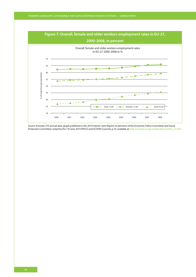

*Source:* Eurostat, LFS annual data, graph published in the 2010 Interim Joint Report on pensions of the Economic Policy Committee and Social Protection Committee, noted by the 7-8 June 2010 EPSCO and ECOFIN Councils, p.10, available at: http://europa.eu/epc/publications/index\_en.htm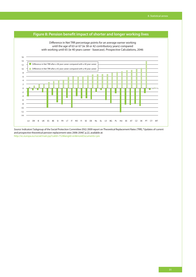

*Source:* Indicators' Subgroup of the Social Protection Committee (ISG) 2009 report on Theoretical Replacement Rates (TRR), "Updates of current and prospective theoretical pension replacement rates 2006-2046", p.22, available at: http://ec.europa.eu/social/main.jsp?catId=752&langId=en&moreDocuments=yes

### **Figure 8: Pension benefit impact of shorter and longer working lives**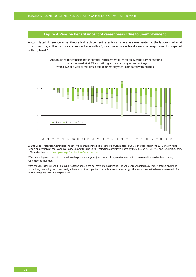### **Figure 9: Pension benefit impact of career breaks due to unemployment**

Accumulated difference in net theoretical replacement rates for an average earner entering the labour market at 25 and retiring at the statutory retirement age with a 1, 2 or 3 year career break due to unemployment compared with no break\*



*Source:* Social Protection Committee/Indicators' Subgroup of the Social Protection Committee (ISG). Graph published in the 2010 Interim Joint Report on pensions of the Economic Policy Committee and Social Protection Committee, noted by the 7-8 June 2010 EPSCO and ECOFIN Councils, p.50, available at: http://europa.eu/epc/publications/index\_en.htm

\* The unemployment break is assumed to take place in the years just prior to old age retirement which is assumed here to be the statutory retirement age for men

*Note:* the values for MT and PT are equal to 0 and should not be interpreted as missing. The values are validated by Member States. Conditions of crediting unemployment breaks might have a positive impact on the replacement rate of a hypothetical worker in the base-case scenario, for whom values in the Figure are provided.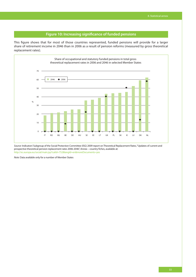### **Figure 10: Increasing significance of funded pensions**

This figure shows that for most of those countries represented, funded pensions will provide for a larger share of retirement income in 2046 than in 2006 as a result of pension reforms (measured by gross theoretical replacement rates).



*Source:* Indicators' Subgroup of the Social Protection Committee (ISG) 2009 report on Theoretical Replacement Rates, "Updates of current and prospective theoretical pension replacement rates 2006-2046", Annex – country fiches, available at: http://ec.europa.eu/social/main.jsp?catId=752&langId=en&moreDocuments=yes

*Note:* Data available only for a number of Member States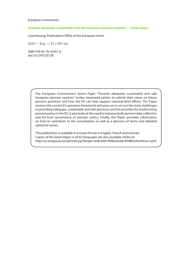European Commission

### **Towards adequate, sustainable and safe European pension systems — Green paper**

Luxembourg: Publications Office of the European Union

2010 — 33 p. — 21 × 29.7 cm

ISBN 978-92-79-16341-8 doi:10.2767/20128

> The European Commission's Green Paper "Towards adequate, sustainable and safe European pension systems" invites interested parties to submit their views on future pension provision and how the EU can best support national-level efforts. The Paper reviews the current EU pensions framework and goes on to set out the main challenges to providing adequate, sustainable and safe pensions and the priorities for modernising pension policy in the EU. It also looks at the need to improve both pension data collection and EU-level governance of pension policy. Finally, the Paper provides information on how to contribute to the consultation, as well as a glossary of terms and detailed statistical annex.

> This publication is available in printed format in English, French and German. Copies of the Green Paper in all EU languages are also available online at: http://ec.europa.eu/social/main.jsp?langId=en&catId=89&newsId=839&furtherNews=yes#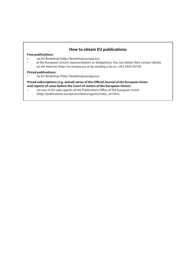### **How to obtain EU publications**

#### **Free publications:**

- **t** via EU Bookshop (http://bookshop.europa.eu);
- at the European Union's representations or delegations. You can obtain their contact details on the Internet (http://ec.europa.eu) or by sending a fax to +352 2929-42758.

### **Priced publications:**

via EU Bookshop (http://bookshop.europa.eu).

#### **Priced subscriptions (e.g. annual series of the Official Journal of the European Union and reports of cases before the Court of Justice of the European Union):**

via one of the sales agents of the Publications Office of the European Union (http://publications.europa.eu/others/agents/index\_en.htm).